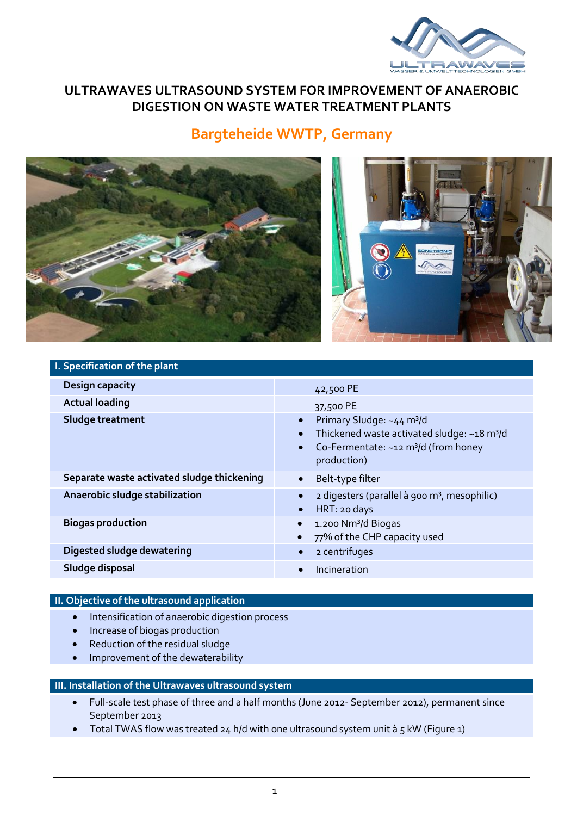

## **ULTRAWAVES ULTRASOUND SYSTEM FOR IMPROVEMENT OF ANAEROBIC DIGESTION ON WASTE WATER TREATMENT PLANTS**

# **Bargteheide WWTP, Germany**



| I. Specification of the plant              |                                                                                                                                                                                  |
|--------------------------------------------|----------------------------------------------------------------------------------------------------------------------------------------------------------------------------------|
| Design capacity                            | 42,500 PE                                                                                                                                                                        |
| <b>Actual loading</b>                      | 37,500 PE                                                                                                                                                                        |
| Sludge treatment                           | Primary Sludge: ~44 m <sup>3</sup> /d<br>$\bullet$<br>Thickened waste activated sludge: ~18 m <sup>3</sup> /d<br>Co-Fermentate: ~12 m <sup>3</sup> /d (from honey<br>production) |
| Separate waste activated sludge thickening | Belt-type filter                                                                                                                                                                 |
| Anaerobic sludge stabilization             | 2 digesters (parallel à 900 m <sup>3</sup> , mesophilic)<br>HRT: 20 days<br>$\bullet$                                                                                            |
| <b>Biogas production</b>                   | 1.200 Nm <sup>3</sup> /d Biogas<br>$\bullet$<br>77% of the CHP capacity used                                                                                                     |
| Digested sludge dewatering                 | 2 centrifuges<br>$\bullet$                                                                                                                                                       |
| Sludge disposal                            | Incineration                                                                                                                                                                     |

#### **II. Objective of the ultrasound application**

- **•** Intensification of anaerobic digestion process
- Increase of biogas production
- Reduction of the residual sludge
- Improvement of the dewaterability

#### **III. Installation of the Ultrawaves ultrasound system**

- Full-scale test phase of three and a half months (June 2012- September 2012), permanent since September 2013
- Total TWAS flow was treated 24 h/d with one ultrasound system unit à 5 kW (Figure 1)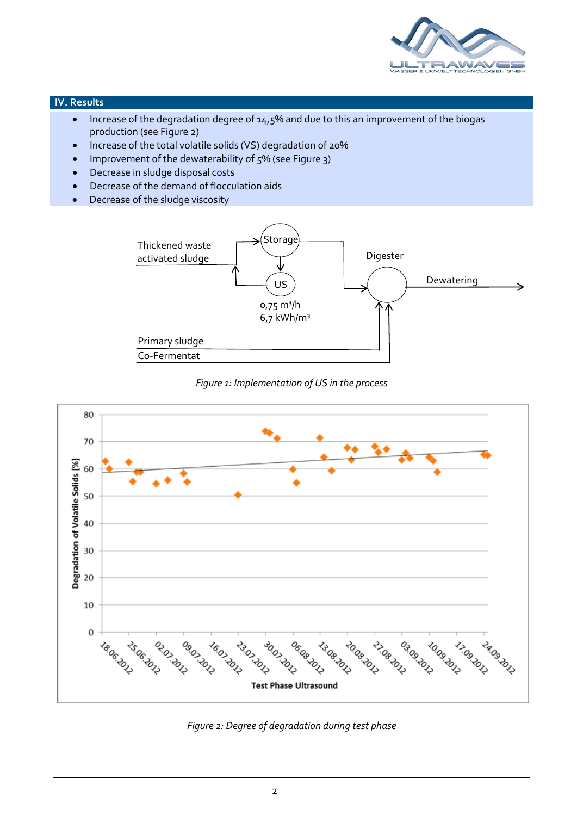

#### **IV. Results**

- Increase of the degradation degree of 14,5% and due to this an improvement of the biogas production (see Figure 2)
- Increase of the total volatile solids (VS) degradation of 20%
- Improvement of the dewaterability of 5% (see Figure 3)
- Decrease in sludge disposal costs
- Decrease of the demand of flocculation aids
- Decrease of the sludge viscosity



### *Figure 1: Implementation of US in the process*



*Figure 2: Degree of degradation during test phase*